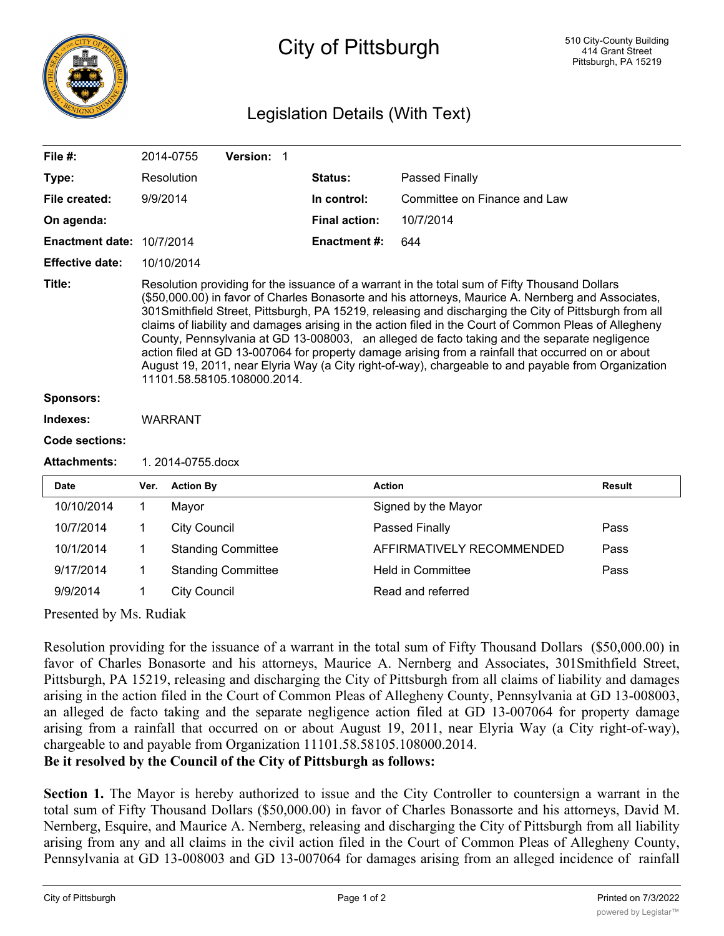

## City of Pittsburgh

## Legislation Details (With Text)

| File #:                   |                                                                                                                                                                                                                                                                                                                                                                                                                                                                                                                                                                                                                                                                                                                                                                   | 2014-0755                                | Version: 1 |  |                           |                              |               |  |
|---------------------------|-------------------------------------------------------------------------------------------------------------------------------------------------------------------------------------------------------------------------------------------------------------------------------------------------------------------------------------------------------------------------------------------------------------------------------------------------------------------------------------------------------------------------------------------------------------------------------------------------------------------------------------------------------------------------------------------------------------------------------------------------------------------|------------------------------------------|------------|--|---------------------------|------------------------------|---------------|--|
| Type:                     |                                                                                                                                                                                                                                                                                                                                                                                                                                                                                                                                                                                                                                                                                                                                                                   | Resolution                               |            |  | Status:                   | Passed Finally               |               |  |
| File created:             | 9/9/2014                                                                                                                                                                                                                                                                                                                                                                                                                                                                                                                                                                                                                                                                                                                                                          |                                          |            |  | In control:               | Committee on Finance and Law |               |  |
| On agenda:                |                                                                                                                                                                                                                                                                                                                                                                                                                                                                                                                                                                                                                                                                                                                                                                   |                                          |            |  | <b>Final action:</b>      | 10/7/2014                    |               |  |
| Enactment date: 10/7/2014 |                                                                                                                                                                                                                                                                                                                                                                                                                                                                                                                                                                                                                                                                                                                                                                   |                                          |            |  | Enactment #:              | 644                          |               |  |
| <b>Effective date:</b>    | 10/10/2014                                                                                                                                                                                                                                                                                                                                                                                                                                                                                                                                                                                                                                                                                                                                                        |                                          |            |  |                           |                              |               |  |
| Title:                    | Resolution providing for the issuance of a warrant in the total sum of Fifty Thousand Dollars<br>(\$50,000.00) in favor of Charles Bonasorte and his attorneys, Maurice A. Nernberg and Associates,<br>301Smithfield Street, Pittsburgh, PA 15219, releasing and discharging the City of Pittsburgh from all<br>claims of liability and damages arising in the action filed in the Court of Common Pleas of Allegheny<br>County, Pennsylvania at GD 13-008003, an alleged de facto taking and the separate negligence<br>action filed at GD 13-007064 for property damage arising from a rainfall that occurred on or about<br>August 19, 2011, near Elyria Way (a City right-of-way), chargeable to and payable from Organization<br>11101.58.58105.108000.2014. |                                          |            |  |                           |                              |               |  |
| <b>Sponsors:</b>          |                                                                                                                                                                                                                                                                                                                                                                                                                                                                                                                                                                                                                                                                                                                                                                   |                                          |            |  |                           |                              |               |  |
| Indexes:                  | <b>WARRANT</b>                                                                                                                                                                                                                                                                                                                                                                                                                                                                                                                                                                                                                                                                                                                                                    |                                          |            |  |                           |                              |               |  |
| <b>Code sections:</b>     |                                                                                                                                                                                                                                                                                                                                                                                                                                                                                                                                                                                                                                                                                                                                                                   |                                          |            |  |                           |                              |               |  |
| <b>Attachments:</b>       | 1. 2014-0755.docx                                                                                                                                                                                                                                                                                                                                                                                                                                                                                                                                                                                                                                                                                                                                                 |                                          |            |  |                           |                              |               |  |
| <b>Date</b>               | Ver.                                                                                                                                                                                                                                                                                                                                                                                                                                                                                                                                                                                                                                                                                                                                                              | <b>Action By</b>                         |            |  |                           | <b>Action</b>                | <b>Result</b> |  |
| 10/10/2014                | 1                                                                                                                                                                                                                                                                                                                                                                                                                                                                                                                                                                                                                                                                                                                                                                 | Mayor                                    |            |  |                           | Signed by the Mayor          |               |  |
| 10/7/2014                 | 1                                                                                                                                                                                                                                                                                                                                                                                                                                                                                                                                                                                                                                                                                                                                                                 | <b>City Council</b>                      |            |  |                           | Passed Finally               | Pass          |  |
| 10/1/2014                 | 1                                                                                                                                                                                                                                                                                                                                                                                                                                                                                                                                                                                                                                                                                                                                                                 | <b>Standing Committee</b>                |            |  | AFFIRMATIVELY RECOMMENDED | Pass                         |               |  |
| 9/17/2014                 | 1                                                                                                                                                                                                                                                                                                                                                                                                                                                                                                                                                                                                                                                                                                                                                                 | <b>Standing Committee</b>                |            |  |                           | <b>Held in Committee</b>     | Pass          |  |
| 9/9/2014                  | 1                                                                                                                                                                                                                                                                                                                                                                                                                                                                                                                                                                                                                                                                                                                                                                 | Read and referred<br><b>City Council</b> |            |  |                           |                              |               |  |

Presented by Ms. Rudiak

Resolution providing for the issuance of a warrant in the total sum of Fifty Thousand Dollars (\$50,000.00) in favor of Charles Bonasorte and his attorneys, Maurice A. Nernberg and Associates, 301Smithfield Street, Pittsburgh, PA 15219, releasing and discharging the City of Pittsburgh from all claims of liability and damages arising in the action filed in the Court of Common Pleas of Allegheny County, Pennsylvania at GD 13-008003, an alleged de facto taking and the separate negligence action filed at GD 13-007064 for property damage arising from a rainfall that occurred on or about August 19, 2011, near Elyria Way (a City right-of-way), chargeable to and payable from Organization 11101.58.58105.108000.2014.

**Be it resolved by the Council of the City of Pittsburgh as follows:**

**Section 1.** The Mayor is hereby authorized to issue and the City Controller to countersign a warrant in the total sum of Fifty Thousand Dollars (\$50,000.00) in favor of Charles Bonassorte and his attorneys, David M. Nernberg, Esquire, and Maurice A. Nernberg, releasing and discharging the City of Pittsburgh from all liability arising from any and all claims in the civil action filed in the Court of Common Pleas of Allegheny County, Pennsylvania at GD 13-008003 and GD 13-007064 for damages arising from an alleged incidence of rainfall